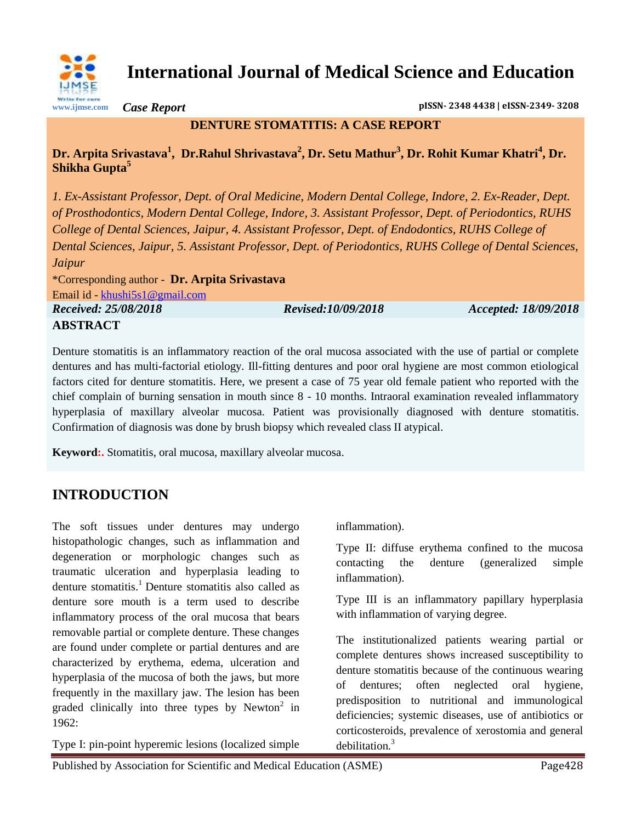

**International Journal of Medical Science and Education**

*Case Report* **pISSN- 2348 4438 | eISSN-2349- 3208**

# **DENTURE STOMATITIS: A CASE REPORT**

## **Dr. Arpita Srivastava<sup>1</sup> , Dr.Rahul Shrivastava<sup>2</sup> , Dr. Setu Mathur<sup>3</sup> , Dr. Rohit Kumar Khatri<sup>4</sup> , Dr. Shikha Gupta<sup>5</sup>**

*1. Ex-Assistant Professor, Dept. of Oral Medicine, Modern Dental College, Indore, 2. Ex-Reader, Dept. of Prosthodontics, Modern Dental College, Indore, 3. Assistant Professor, Dept. of Periodontics, RUHS College of Dental Sciences, Jaipur, 4. Assistant Professor, Dept. of Endodontics, RUHS College of Dental Sciences, Jaipur, 5. Assistant Professor, Dept. of Periodontics, RUHS College of Dental Sciences, Jaipur* \*Corresponding author - **Dr. Arpita Srivastava**

Email id - [khushi5s1@gmail.com](mailto:khushi5s1@gmail.com)

*Received: 25/08/2018 Revised:10/09/2018 Accepted: 18/09/2018*

## **ABSTRACT**

Denture stomatitis is an inflammatory reaction of the oral mucosa associated with the use of partial or complete dentures and has multi-factorial etiology. Ill-fitting dentures and poor oral hygiene are most common etiological factors cited for denture stomatitis. Here, we present a case of 75 year old female patient who reported with the chief complain of burning sensation in mouth since 8 - 10 months. Intraoral examination revealed inflammatory hyperplasia of maxillary alveolar mucosa. Patient was provisionally diagnosed with denture stomatitis. Confirmation of diagnosis was done by brush biopsy which revealed class II atypical.

**Keyword:.** Stomatitis, oral mucosa, maxillary alveolar mucosa.

# **INTRODUCTION**

The soft tissues under dentures may undergo histopathologic changes, such as inflammation and degeneration or morphologic changes such as traumatic ulceration and hyperplasia leading to denture stomatitis.<sup>1</sup> Denture stomatitis also called as denture sore mouth is a term used to describe inflammatory process of the oral mucosa that bears removable partial or complete denture. These changes are found under complete or partial dentures and are characterized by erythema, edema, ulceration and hyperplasia of the mucosa of both the jaws, but more frequently in the maxillary jaw. The lesion has been graded clinically into three types by Newton<sup>2</sup> in  $1962$ 

Type I: pin-point hyperemic lesions (localized simple

inflammation).

Type II: diffuse erythema confined to the mucosa contacting the denture (generalized simple inflammation).

Type III is an inflammatory papillary hyperplasia with inflammation of varying degree.

The institutionalized patients wearing partial or complete dentures shows increased susceptibility to denture stomatitis because of the continuous wearing of dentures; often neglected oral hygiene, predisposition to nutritional and immunological deficiencies; systemic diseases, use of antibiotics or corticosteroids, prevalence of xerostomia and general debilitation.<sup>3</sup>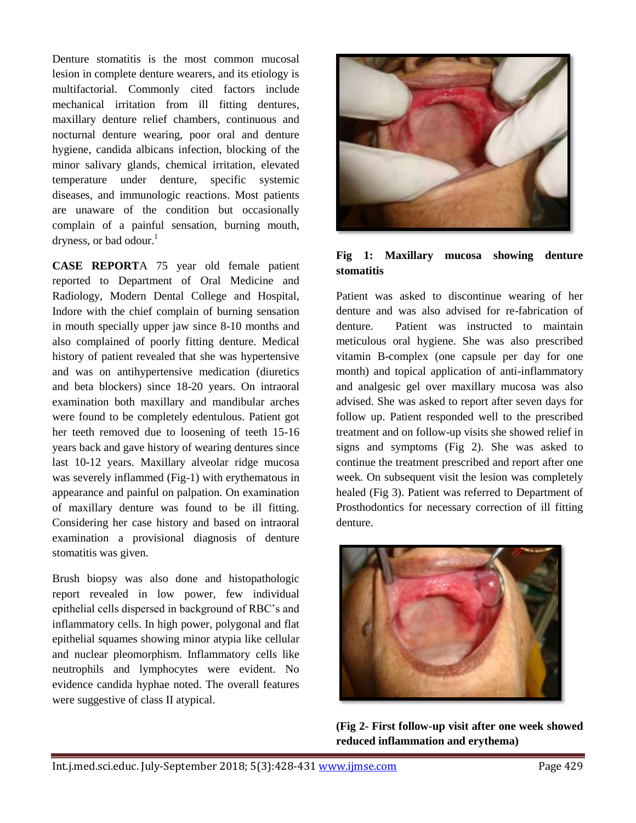Denture stomatitis is the most common mucosal lesion in complete denture wearers, and its etiology is multifactorial. Commonly cited factors include mechanical irritation from ill fitting dentures, maxillary denture relief chambers, continuous and nocturnal denture wearing, poor oral and denture hygiene, candida albicans infection, blocking of the minor salivary glands, chemical irritation, elevated temperature under denture, specific systemic diseases, and immunologic reactions. Most patients are unaware of the condition but occasionally complain of a painful sensation, burning mouth, dryness, or bad odour. $<sup>1</sup>$ </sup>

**CASE REPORT**A 75 year old female patient reported to Department of Oral Medicine and Radiology, Modern Dental College and Hospital, Indore with the chief complain of burning sensation in mouth specially upper jaw since 8-10 months and also complained of poorly fitting denture. Medical history of patient revealed that she was hypertensive and was on antihypertensive medication (diuretics and beta blockers) since 18-20 years. On intraoral examination both maxillary and mandibular arches were found to be completely edentulous. Patient got her teeth removed due to loosening of teeth 15-16 years back and gave history of wearing dentures since last 10-12 years. Maxillary alveolar ridge mucosa was severely inflammed (Fig-1) with erythematous in appearance and painful on palpation. On examination of maxillary denture was found to be ill fitting. Considering her case history and based on intraoral examination a provisional diagnosis of denture stomatitis was given.

Brush biopsy was also done and histopathologic report revealed in low power, few individual epithelial cells dispersed in background of RBC's and inflammatory cells. In high power, polygonal and flat epithelial squames showing minor atypia like cellular and nuclear pleomorphism. Inflammatory cells like neutrophils and lymphocytes were evident. No evidence candida hyphae noted. The overall features were suggestive of class II atypical.



#### **Fig 1: Maxillary mucosa showing denture stomatitis**

Patient was asked to discontinue wearing of her denture and was also advised for re-fabrication of denture. Patient was instructed to maintain meticulous oral hygiene. She was also prescribed vitamin B-complex (one capsule per day for one month) and topical application of anti-inflammatory and analgesic gel over maxillary mucosa was also advised. She was asked to report after seven days for follow up. Patient responded well to the prescribed treatment and on follow-up visits she showed relief in signs and symptoms (Fig 2). She was asked to continue the treatment prescribed and report after one week. On subsequent visit the lesion was completely healed (Fig 3). Patient was referred to Department of Prosthodontics for necessary correction of ill fitting denture.



**(Fig 2- First follow-up visit after one week showed reduced inflammation and erythema)**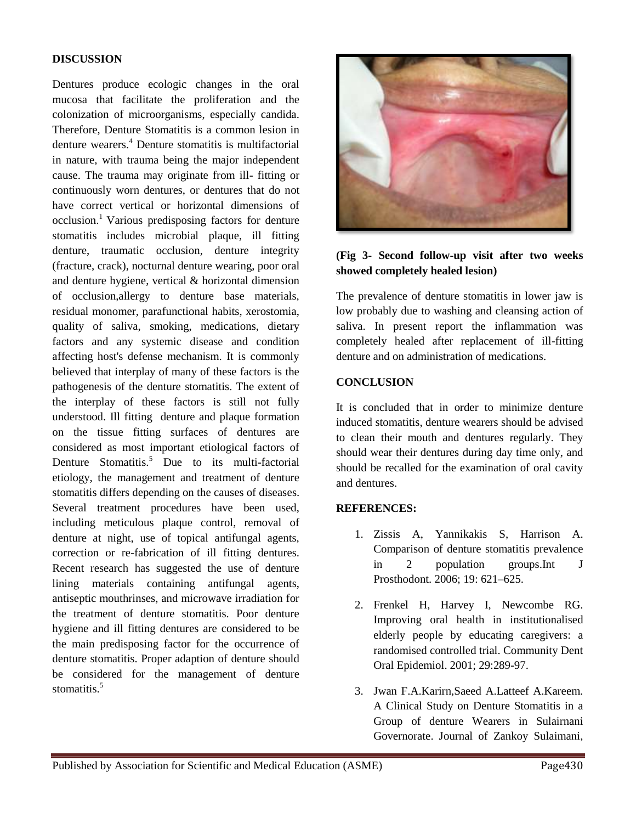#### **DISCUSSION**

Dentures produce ecologic changes in the oral mucosa that facilitate the proliferation and the colonization of microorganisms, especially candida. Therefore, Denture Stomatitis is a common lesion in denture wearers.<sup>4</sup> Denture stomatitis is multifactorial in nature, with trauma being the major independent cause. The trauma may originate from ill- fitting or continuously worn dentures, or dentures that do not have correct vertical or horizontal dimensions of occlusion.<sup>1</sup> Various predisposing factors for denture stomatitis includes microbial plaque, ill fitting denture, traumatic occlusion, denture integrity (fracture, crack), nocturnal denture wearing, poor oral and denture hygiene, vertical & horizontal dimension of occlusion,allergy to denture base materials, residual monomer, parafunctional habits, xerostomia, quality of saliva, smoking, medications, dietary factors and any systemic disease and condition affecting host's defense mechanism. It is commonly believed that interplay of many of these factors is the pathogenesis of the denture stomatitis. The extent of the interplay of these factors is still not fully understood. Ill fitting denture and plaque formation on the tissue fitting surfaces of dentures are considered as most important etiological factors of Denture Stomatitis.<sup>5</sup> Due to its multi-factorial etiology, the management and treatment of denture stomatitis differs depending on the causes of diseases. Several treatment procedures have been used, including meticulous plaque control, removal of denture at night, use of topical antifungal agents, correction or re-fabrication of ill fitting dentures. Recent research has suggested the use of denture lining materials containing antifungal agents, antiseptic mouthrinses, and microwave irradiation for the treatment of denture stomatitis. Poor denture hygiene and ill fitting dentures are considered to be the main predisposing factor for the occurrence of denture stomatitis. Proper adaption of denture should be considered for the management of denture stomatitis $<sup>5</sup>$ </sup>



### **(Fig 3- Second follow-up visit after two weeks showed completely healed lesion)**

The prevalence of denture stomatitis in lower jaw is low probably due to washing and cleansing action of saliva. In present report the inflammation was completely healed after replacement of ill-fitting denture and on administration of medications.

#### **CONCLUSION**

It is concluded that in order to minimize denture induced stomatitis, denture wearers should be advised to clean their mouth and dentures regularly. They should wear their dentures during day time only, and should be recalled for the examination of oral cavity and dentures.

#### **REFERENCES:**

- 1. Zissis A, Yannikakis S, Harrison A. Comparison of denture stomatitis prevalence in 2 population groups.Int J Prosthodont. 2006; 19: 621–625.
- 2. Frenkel H, Harvey I, Newcombe RG. Improving oral health in institutionalised elderly people by educating caregivers: a randomised controlled trial. Community Dent Oral Epidemiol. 2001; 29:289-97.
- 3. Jwan F.A.Karirn,Saeed A.Latteef A.Kareem. A Clinical Study on Denture Stomatitis in a Group of denture Wearers in Sulairnani Governorate. Journal of Zankoy Sulaimani,